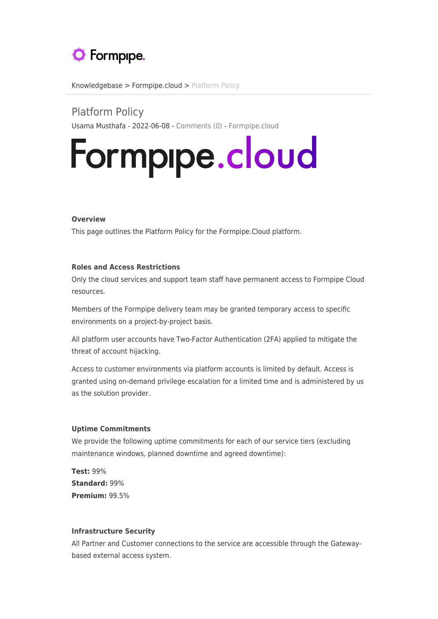

[Knowledgebase](https://support.formpipe.com/kb) > [Formpipe.cloud](https://support.formpipe.com/kb/formpipe-cloud) > [Platform Policy](https://support.formpipe.com/kb/articles/platform-policy)

Platform Policy Usama Musthafa - 2022-06-08 - [Comments \(0\)](#page--1-0) - [Formpipe.cloud](https://support.formpipe.com/kb/formpipe-cloud)

# Formpipe.cloud

### **Overview**

This page outlines the Platform Policy for the Formpipe.Cloud platform.

## **Roles and Access Restrictions**

Only the cloud services and support team staff have permanent access to Formpipe Cloud resources.

Members of the Formpipe delivery team may be granted temporary access to specific environments on a project-by-project basis.

All platform user accounts have Two-Factor Authentication (2FA) applied to mitigate the threat of account hijacking.

Access to customer environments via platform accounts is limited by default. Access is granted using on-demand privilege escalation for a limited time and is administered by us as the solution provider.

#### **Uptime Commitments**

We provide the following uptime commitments for each of our service tiers (excluding maintenance windows, planned downtime and agreed downtime):

**Test:** 99% **Standard:** 99% **Premium:** 99.5%

#### **Infrastructure Security**

All Partner and Customer connections to the service are accessible through the Gatewaybased external access system.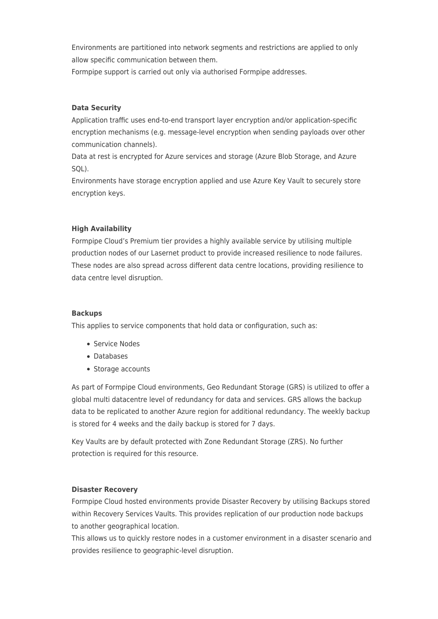Environments are partitioned into network segments and restrictions are applied to only allow specific communication between them.

Formpipe support is carried out only via authorised Formpipe addresses.

# **Data Security**

Application traffic uses end-to-end transport layer encryption and/or application-specific encryption mechanisms (e.g. message-level encryption when sending payloads over other communication channels).

Data at rest is encrypted for Azure services and storage (Azure Blob Storage, and Azure SQL).

Environments have storage encryption applied and use Azure Key Vault to securely store encryption keys.

# **High Availability**

Formpipe Cloud's Premium tier provides a highly available service by utilising multiple production nodes of our Lasernet product to provide increased resilience to node failures. These nodes are also spread across different data centre locations, providing resilience to data centre level disruption.

# **Backups**

This applies to service components that hold data or configuration, such as:

- Service Nodes
- Databases
- Storage accounts

As part of Formpipe Cloud environments, Geo Redundant Storage (GRS) is utilized to offer a global multi datacentre level of redundancy for data and services. GRS allows the backup data to be replicated to another Azure region for additional redundancy. The weekly backup is stored for 4 weeks and the daily backup is stored for 7 days.

Key Vaults are by default protected with Zone Redundant Storage (ZRS). No further protection is required for this resource.

# **Disaster Recovery**

Formpipe Cloud hosted environments provide Disaster Recovery by utilising Backups stored within Recovery Services Vaults. This provides replication of our production node backups to another geographical location.

This allows us to quickly restore nodes in a customer environment in a disaster scenario and provides resilience to geographic-level disruption.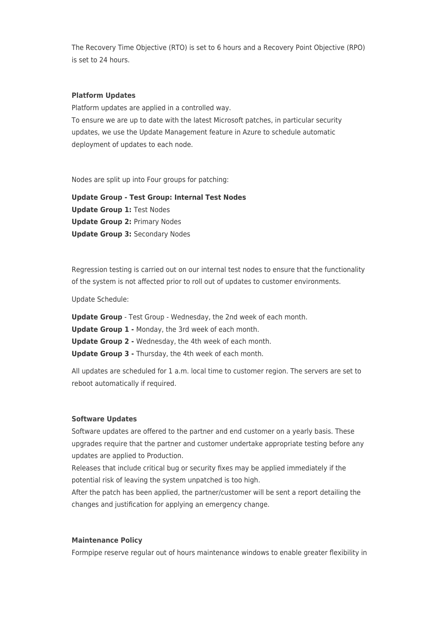The Recovery Time Objective (RTO) is set to 6 hours and a Recovery Point Objective (RPO) is set to 24 hours.

### **Platform Updates**

Platform updates are applied in a controlled way. To ensure we are up to date with the latest Microsoft patches, in particular security updates, we use the Update Management feature in Azure to schedule automatic deployment of updates to each node.

Nodes are split up into Four groups for patching:

**Update Group - Test Group: Internal Test Nodes Update Group 1:** Test Nodes **Update Group 2:** Primary Nodes **Update Group 3:** Secondary Nodes

Regression testing is carried out on our internal test nodes to ensure that the functionality of the system is not affected prior to roll out of updates to customer environments.

Update Schedule:

**Update Group** - Test Group - Wednesday, the 2nd week of each month.

**Update Group 1 -** Monday, the 3rd week of each month.

**Update Group 2 -** Wednesday, the 4th week of each month.

**Update Group 3 -** Thursday, the 4th week of each month.

All updates are scheduled for 1 a.m. local time to customer region. The servers are set to reboot automatically if required.

### **Software Updates**

Software updates are offered to the partner and end customer on a yearly basis. These upgrades require that the partner and customer undertake appropriate testing before any updates are applied to Production.

Releases that include critical bug or security fixes may be applied immediately if the potential risk of leaving the system unpatched is too high.

After the patch has been applied, the partner/customer will be sent a report detailing the changes and justification for applying an emergency change.

#### **Maintenance Policy**

Formpipe reserve regular out of hours maintenance windows to enable greater flexibility in